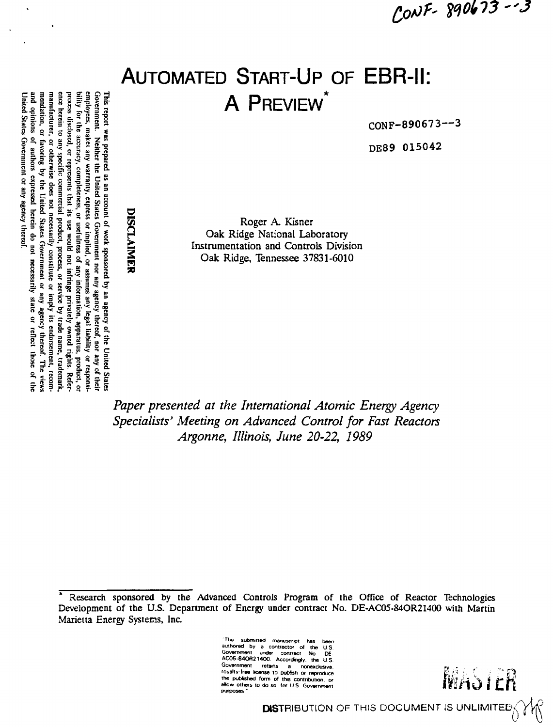CONF-890673-13

# **AUTOMATED START-UP OF EBR-II:** A PREVIEW

CONF-890673--3

DE89 015042

Roger A. Kisner Oak Ridge National Laboratory Instrumentation and Controls Division Oak Ridge, Tennessee 37831-6010

Paper presented at the International Atomic Energy Agency Specialists' Meeting on Advanced Control for Fast Reactors Argonne, Illinois, June 20-22, 1989

submitted manuscript has authored by a contractor of the<br>Government under contract No. U.S DE AC05-84OR21400. Accordingly, the U.S. Government retains a nonexclusive, the published form of this contribution, or allow others to do so, for U.S. Government purposes

# DISCLAIMER

Government. Neither the United States Government nor any agency thereof, nor any of their<br>employees, makes any warranty, express or implied, or assumes any legal liability or responsition. manufacturer, process disclosed, or represents that its use would not infringe privately owned rights. Referbility for the accuracy, completeness, or usefulness of any information, apparatus, product, or and opinions of authors expressed herein do not necessarily state or reflect those of the mendation, or favoring by the United States Government or any agency thereof. The view ence herein to United States Government or any agency thereof This report was prepared as an account of work sponsored by an agency of the United State. any specific commercial product, process, or service by trade name, trademark, or otherwise does not necessarily constitute or imply its endorsement, recom-

MASIER

Research sponsored by the Advanced Controls Program of the Office of Reactor Technologies Development of the U.S. Department of Energy under contract No. DE-AC05-84OR21400 with Martin Marietta Energy Systems, Inc.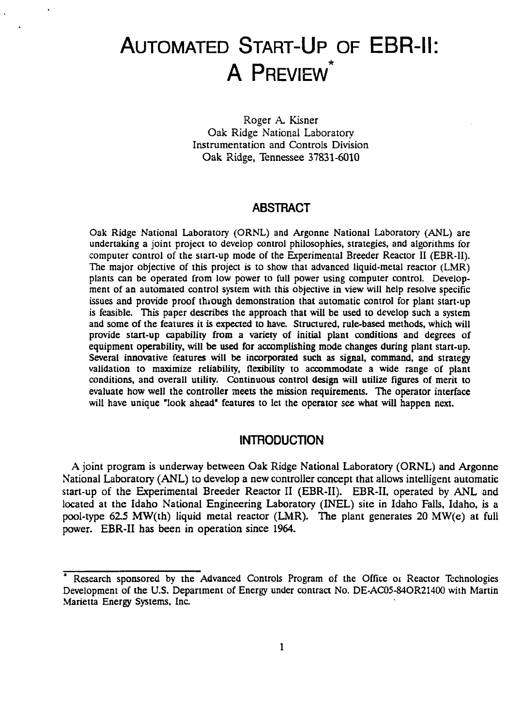# AUTOMATED START-UP OF EBR-II: **A PREVIEW**

Roger A. Kisner Oak Ridge National Laboratory Instrumentation and Controls Division Oak Ridge, Tennessee 37831-6010

# **ABSTRACT**

Oak Ridge National Laboratory (ORNL) and Argonne National Laboratory (ANL) are undertaking a joint project to develop control philosophies, strategies, and algorithms for computer control of the start-up mode of the Experimental Breeder Reactor II (EBR-II). The major objective of this project is to show that advanced liquid-metal reactor (LMR) plants can be operated from low power to full power using computer control. Development of an automated control system with this objective in view will help resolve specific issues and provide proof through demonstration that automatic control for plant start-up is feasible. This paper describes the approach that will be used to develop such a system and some of the features it is expected to have. Structured, rule-based methods, which will provide start-up capability from a variety of initial plant conditions and degrees of equipment operability, will be used for accomplishing mode changes during plant start-up. Several innovative features will be incorporated such as signal, command, and strategy validation to maximize reliability, flexibility to accommodate a wide range of plant conditions, and overall utility. Continuous control design will utilize figures of merit to evaluate how well the controller meets the mission requirements. The operator interface will have unique "look ahead" features to let the operator see what will happen next.

# **INTRODUCTION**

A joint program is underway between Oak Ridge National Laboratory (ORNL) and Argonne National Laboratory (ANL) to develop a new controller concept that allows intelligent automatic start-up of the Experimental Breeder Reactor II (EBR-II). EBR-II, operated by ANL and located at the Idaho National Engineering Laboratory (INEL) site in Idaho Falls, Idaho, is a pool-type 62.5 MW(th) liquid metal reactor (LMR). The plant generates 20 MW(e) at full power. EBR-II has been in operation since 1964.

Research sponsored by the Advanced Controls Program of the Office or Reactor Technologies Development of the U.S. Department of Energy under contract No. DE-AC05-84OR21400 with Martin Marietta Energy Systems, Inc.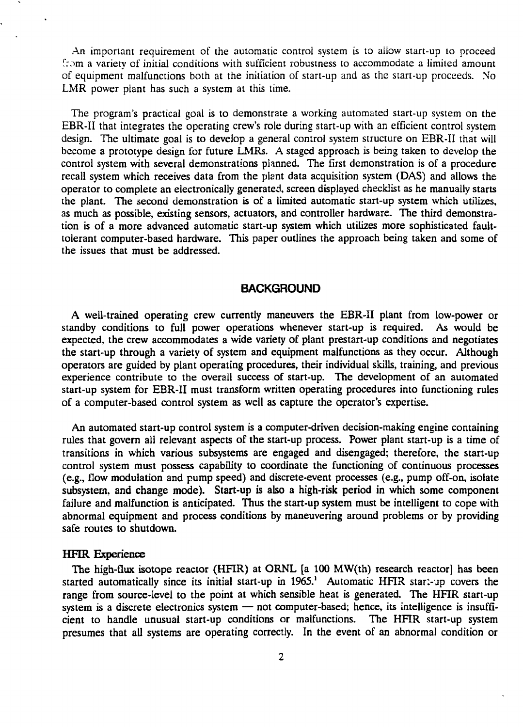An important requirement of the automatic control system is to allow start-up to proceed from a variety of initial conditions with sufficient robustness to accommodate a limited amount of equipment malfunctions both at the initiation of start-up and as the start-up proceeds. No LMR power plant has such a system at this time.

The program's practical goal is to demonstrate a working automated start-up system on the EBR-II that integrates the operating crew's role during start-up with an efficient control system design. The ultimate goal is to develop a general control system structure on EBR-II that will become a prototype design for future LMRs. A staged approach is being taken to develop the control system with several demonstrations planned. The first demonstration is of a procedure recall system which receives data from the plant data acquisition system (DAS) and allows the operator to complete an electronically generated, screen displayed checklist as he manually starts the plant. The second demonstration is of a limited automatic start-up system which utilizes, as much as possible, existing sensors, actuators, and controller hardware. The third demonstration is of a more advanced automatic start-up system which utilizes more sophisticated faulttolerant computer-based hardware. This paper outlines the approach being taken and some of the issues that must be addressed.

# **BACKGROUND**

A well-trained operating crew currently maneuvers the EBR-II plant from low-power or standby conditions to full power operations whenever start-up is required. As would be expected, the crew accommodates a wide variety of plant prestart-up conditions and negotiates the start-up through a variety of system and equipment malfunctions as they occur. Although operators are guided by plant operating procedures, their individual skills, training, and previous experience contribute to the overall success of start-up. The development of an automated start-up system for EBR-II must transform written operating procedures into functioning rules of a computer-based control system as well as capture the operator's expertise.

An automated start-up control system is a computer-driven decision-making engine containing rules that govern all relevant aspects of the start-up process. Power plant start-up is a time of transitions in which various subsystems are engaged and disengaged; therefore, the start-up control system must possess capability to coordinate the functioning of continuous processes (e.g., flow modulation and pump speed) and discrete-event processes (e.g., pump off-on, isolate subsystem, and change mode). **Start-up** is also a high-risk period in which some component failure and malfunction is anticipated. Thus the start-up system must be intelligent to cope with abnormal equipment and process conditions by maneuvering around problems or by providing safe routes to shutdown.

#### **HFIR Experience**

The high-flux isotope reactor (HFIR) at ORNL [a 100 MW(th) research reactor] has been started automatically since its initial start-up in 1965.<sup>1</sup> Automatic HFIR start-up covers the range from source-level to the point at which sensible heat is generated. The HFIR start-up system is a discrete electronics system — not computer-based; hence, its intelligence is insufficient to handle unusual start-up conditions or malfunctions. The HFIR start-up system presumes that all systems are operating correctly. In the event of an abnormal condition or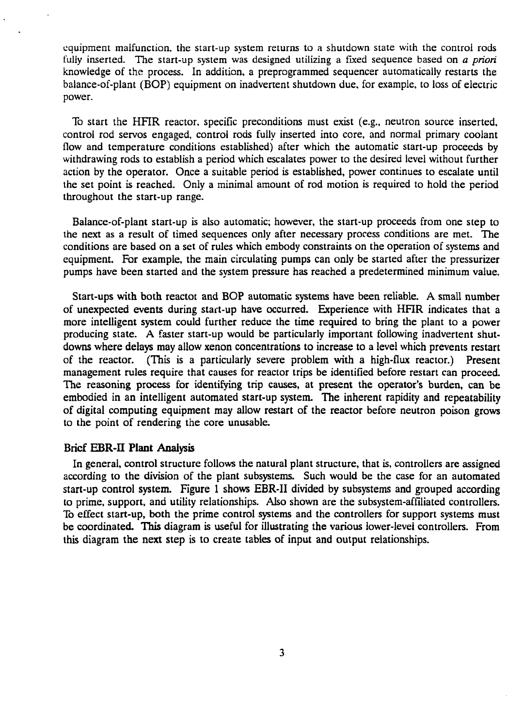equipment malfunction, the start-up system returns to a shutdown state with the control rods fully inserted. The start-up system was designed utilizing a fixed sequence based on *a priori* knowledge of the process. In addition, a preprogrammed sequencer automatically restarts the balance-of-plant (BOP) equipment on inadvertent shutdown due, for example, to loss of electric power.

To start the HFIR reactor, specific preconditions must exist (e.g., neutron source inserted, control rod servos engaged, control rods fully inserted into core, and normal primary coolant flow and temperature conditions established) after which the automatic start-up proceeds by withdrawing rods to establish a period which escalates power to the desired level without further action by the operator. Once a suitable period is established, power continues to escalate until the set point is reached. Only a minimal amount of rod motion is required to hold the period throughout the start-up range.

Balance-of-plant start-up is also automatic; however, the start-up proceeds from one step to the next as a result of timed sequences only after necessary process conditions are met. The conditions are based on a set of rules which embody constraints on the operation of systems and equipment. For example, the main circulating pumps can only be started after the pressurizer pumps have been started and the system pressure has reached a predetermined minimum value.

Start-ups with both reactot and BOP automatic systems have been reliable. A small number of unexpected events during start-up have occurred. Experience with HFIR indicates that a more intelligent system could further reduce the time required to bring the plant to a power producing state. A faster start-up would be particularly important following inadvertent shutdowns where delays may allow xenon concentrations to increase to a level which prevents restart of the reactor. (This is a particularly severe problem with a high-flux reactor.) Present management rules require that causes for reactor trips be identified before restart can proceed. The reasoning process for identifying trip causes, at present the operator's burden, can be embodied in an intelligent automated start-up system. The inherent rapidity and repeatability of digital computing equipment may allow restart of the reactor before neutron poison grows to the point of rendering the core unusable.

#### Brief **EBR-II Plant Analysis**

In general, control structure follows the natural plant structure, that *is,* controllers are assigned according to the division of the plant subsystems. Such would be the case for an automated start-up control system. Figure 1 shows EBR-II divided by subsystems and grouped according to prime, support, and utility relationships. Also shown are the subsystem-affiliated controllers. To effect start-up, both the prime control systems and the controllers for support systems must be coordinated. This diagram is useful for illustrating the various lower-level controllers. From this diagram the next step is to create tables of input and output relationships.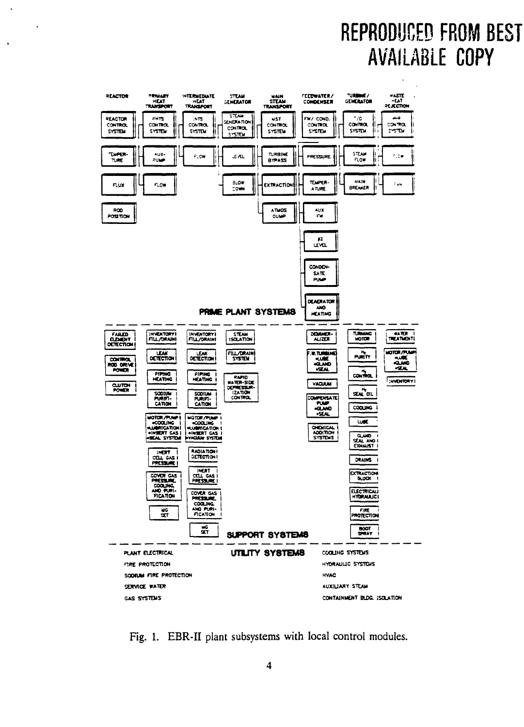# REPRODUCED FROM BEST **AVAILABLE COPY**



 $\overline{a}$ 

Fig. 1. EBR-II plant subsystems with local control modules.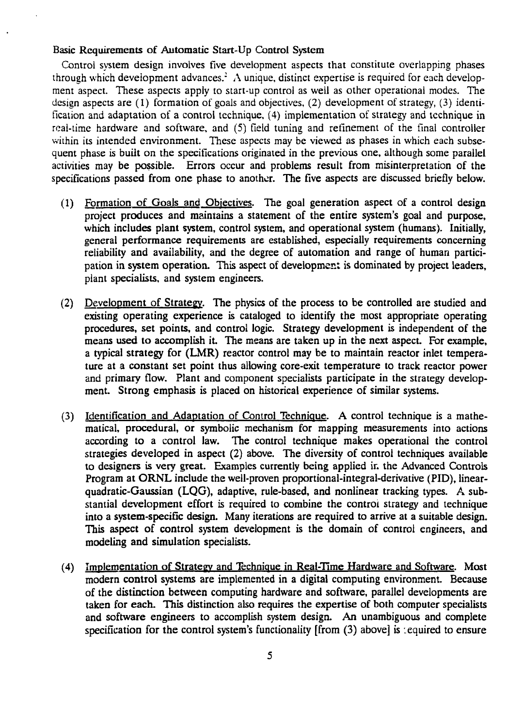## Basic Requirements of Automatic Start-Up Control System

Control system design involves five development aspects that constitute overlapping phases through which development advances.<sup>2</sup> A unique, distinct expertise is required for each development aspect. These aspects apply to start-up control as well as other operational modes. The design aspects are (1) formation of goals and objectives, (2) development of strategy, (3) identification and adaptation of a control technique, (4) implementation of strategy and technique in real-time hardware and software, and (5) field tuning and refinement of the final controller within its intended environment. These aspects may be viewed as phases in which each subsequent phase is built on the specifications originated in the previous one, although some parallel activities may be possible. Errors occur and problems result from misinterpretation of the specifications passed from one phase to another. The five aspects are discussed briefly below.

- (1) Formation of Goals and Objectives. The goal generation aspect of a control design project produces and maintains a statement of the entire system's goal and purpose, which includes plant system, control system, and operational system (humans). Initially, general performance requirements are established, especially requirements concerning reliability and availability, and the degree of automation and range of human participation in system operation. This aspect of development is dominated by project leaders, plant specialists, and system engineers.
- (2) Development of Strategy. The physics of the process to be controlled are studied and existing operating experience is cataloged to identify the most appropriate operating procedures, set points, and control logic. Strategy development is independent of the means used to accomplish it. The means are taken up in the next aspect. For example, a typical strategy for (LMR) reactor control may be to maintain reactor inlet temperature at a constant set point thus allowing core-exit temperature to track reactor power and primary flow. Plant and component specialists participate in the strategy development. Strong emphasis is placed on historical experience of similar systems.
- (3) Identification and Adaptation of Control Technique. A control technique is a mathematical, procedural, or symbolic mechanism for mapping measurements into actions according to a control law. The control technique makes operational the control strategies developed in aspect (2) above. The diversity of control techniques available to designers is very great. Examples currently being applied in the Advanced Controls Program at ORNL include the well-proven proportional-integral-derivative (PID), linearquadratic-Gaussian (LQG), adaptive, rule-based, and nonlinear tracking types. A substantial development effort is required to combine the control strategy and technique into a system-specific design. Many iterations are required to arrive at a suitable design. This aspect of control system development is the domain of control engineers, and modeling and simulation specialists.
- (4) Implementation of Strategy and Technique in Real-Time Hardware and Software. Most modern control systems are implemented in a digital computing environment. Because of the distinction between computing hardware and software, parallel developments are taken for each. This distinction also requires the expertise of both computer specialists and software engineers to accomplish system design. An unambiguous and complete specification for the control system's functionality [from  $(3)$  above] is sequired to ensure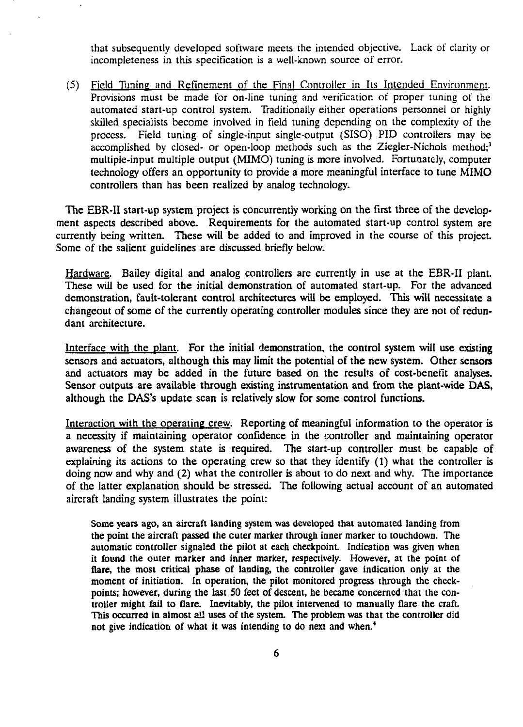that subsequently developed software meets the intended objective. Lack of clarity or incompleteness in this specification is a well-known source of error.

(5) Field Tuning and Refinement of the Final Controller in Its Intended Environment. Provisions must be made for on-line tuning and verification of proper tuning of the automated start-up control system. Traditionally either operations personnel or highly skilled specialists become involved in field tuning depending on the complexity of the process. Field tuning of single-input single-output (SISO) PID controllers may be accomplished by closed- or open-loop methods such as the Ziegler-Nichols method;<sup>3</sup> multiple-input multiple output (MIMO) tuning is more involved. Fortunately, computer technology offers an opportunity to provide a more meaningful interface to tune MIMO controllers than has been realized by analog technology.

The EBR-II start-up system project is concurrently working on the first three of the development aspects described above. Requirements for the automated start-up control system are currently being written. These will be added to and improved in the course of this project. Some of the salient guidelines are discussed briefly below.

Hardware. Bailey digital and analog controllers are currently in use at the EBR-II plant. These will be used for the initial demonstration of automated start-up. For the advanced demonstration, fault-tolerant control architectures will be employed. This will necessitate a changeout of some of the currently operating controller modules since they are not of redundant architecture.

Interface with the plant. For the initial demonstration, the control system will use existing sensors and actuators, although this may limit the potential of the new system. Other sensors and actuators may be added in the future based on the results of cost-benefit analyses. Sensor outputs are available through existing instrumentation and from the plant-wide DAS, although the DAS's update scan is relatively slow for some control functions.

Interaction with the operating crew. Reporting of meaningful information to the operator is a necessity if maintaining operator confidence in the controller and maintaining operator awareness of the system state is required. The start-up controller must be capable of explaining its actions to the operating crew so that they identify (1) what the controller is doing now and why and (2) what the controller is about to do next and why. The importance of the latter explanation should be stressed. The following actual account of an automated aircraft landing system illustrates the point:

Some years ago, an aircraft landing system was developed that automated landing from the point the aircraft passed the cuter marker through inner marker to touchdown. The automatic controller signaled the pilot at each checkpoint. Indication was given when it found the outer marker and inner marker, respectively. However, at the point of flare, the most critical phase of landing, the controller gave indication only at the moment of initiation. In operation, the pilot monitored progress through the checkpoints; however, during the last 50 feet of descent, he became concerned that the controller might fail to flare. Inevitably, the pilot intervened to manually flare the craft. This occurred in almost ail uses of the system. The problem was that the controller did not give indication of what it was intending to do next and when.<sup>4</sup>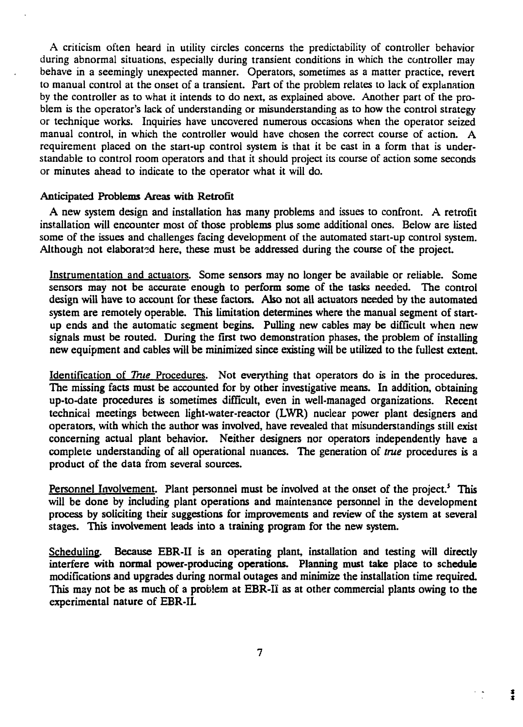A criticism often heard in utility circles concerns the predictability of controller behavior during abnormal situations, especially during transient conditions in which the controller may behave in a seemingly unexpected manner. Operators, sometimes as a matter practice, revert to manual control at the onset of a transient. Part of the problem relates to lack of explanation by the controller as to what it intends to do next, as explained above. Another part of the problem is the operator's lack of understanding or misunderstanding as to how the control strategy or technique works. Inquiries have uncovered numerous occasions when the operator seized manual control, in which the controller would have chosen the correct course of action. A requirement placed on the start-up control system is that it be cast in a form that is understandable to control room operators and that it should project its course of action some seconds or minutes ahead to indicate to the operator what it will do.

#### Anticipated Problems Areas with Retrofit

A new system design and installation has many problems and issues to confront. A retrofit installation will encounter most of those problems plus some additional ones. Below are listed some of the issues and challenges facing development of the automated start-up control system. Although not elaborated here, these must be addressed during the course of the project.

Instrumentation and actuators. Some sensors may no longer be available or reliable. Some sensors may not be accurate enough to perform some of the tasks needed. The control design will have to account for these factors. Also not all actuators needed by the automated system are remotely operable. This limitation determines where the manual segment of startup ends and the automatic segment begins. Pulling new cables may be difficult when new signals must be routed. During the first two demonstration phases, the problem of installing new equipment and cables will be minimized since existing will be utilized to the fullest extent.

Identification of *True* Procedures. Not everything that operators do is in the procedures. The missing facts must be accounted for by other investigative means. In addition, obtaining up-to-date procedures is sometimes difficult, even in well-managed organizations. Recent technical meetings between light-water-reactor (LWR) nuclear power plant designers and operators, with which the author was involved, have revealed that misunderstandings still exist concerning actual plant behavior. Neither designers nor operators independently have a complete understanding of all operational nuances. The generation of *true* procedures is a product of the data from several sources.

Personnel Involvement. Plant personnel must be involved at the onset of the project.<sup>5</sup> This will be done by including plant operations and maintenance personnel in the development process by soliciting their suggestions for improvements and review of the system at several stages. This involvement leads into a training program for the new system.

Scheduling. Because EBR-II is an operating plant, installation and testing will directly interfere with normal power-producing operations. Planning must take place to schedule modifications and upgrades during normal outages and minimize the installation time required. This may not be as much of a problem at EBR-II as at other commercial plants owing to the experimental nature of EBR-IL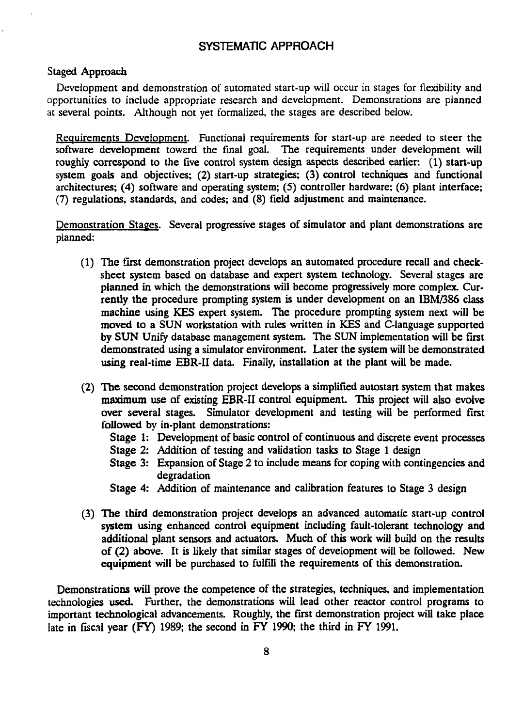# SYSTEMATIC APPROACH

#### Staged Approach

Development and demonstration of automated start-up will occur in stages for flexibility and opportunities to include appropriate research and development. Demonstrations are planned at several points. Although not yet formalized, the stages are described below.

Requirements Development. Functional requirements for start-up are needed to steer the software development toward the final goal. The requirements under development will roughly correspond to the five control system design aspects described earlier: (1) start-up system goals and objectives; (2) start-up strategies; (3) control techniques and functional architectures; (4) software and operating system; (5) controller hardware; (6) plant interface; (7) regulations, standards, and codes; and (8) field adjustment and maintenance.

Demonstration Stages. Several progressive stages of simulator and plant demonstrations are planned:

- (1) The first demonstration project develops an automated procedure recall and checksheet system based on database and expert system technology. Several stages are planned in which the demonstrations will become progressively more complex. Currently the procedure prompting system is under development on an IBM/386 class machine using KES expert system. The procedure prompting system next will be moved to a SUN workstation with rules written in KES and C-Ianguage supported by SUN Unify database management system. The SUN implementation will be first demonstrated using a simulator environment. Later the system will be demonstrated using real-time EBR-II data. Finally, installation at the plant will be made.
- (2) The second demonstration project develops a simplified autostart system that makes maximum use of existing EBR-II control equipment. This project will also evolve over several stages. Simulator development and testing will be performed first followed by in-plant demonstrations:
	- Stage 1: Development of basic control of continuous and discrete event processes
	- Stage 2: Addition of testing and validation tasks to Stage 1 design
	- Stage 3: Expansion of Stage 2 to include means for coping with contingencies and degradation
	- Stage 4: Addition of maintenance and calibration features to Stage 3 design
- (3) The third demonstration project develops an advanced automatic start-up control system using enhanced control equipment including fault-tolerant technology and additional plant sensors and actuators. Much of this work will build on the results of (2) above. It is likely that similar stages of development will be followed. New equipment will be purchased to fulfill the requirements of this demonstration.

Demonstrations will prove the competence of the strategies, techniques, and implementation technologies used. Further, the demonstrations will lead other reactor control programs to important technological advancements. Roughly, the first demonstration project will take place late in fiscal year (FY) 1989; the second in FY 1990; the third in FY 1991.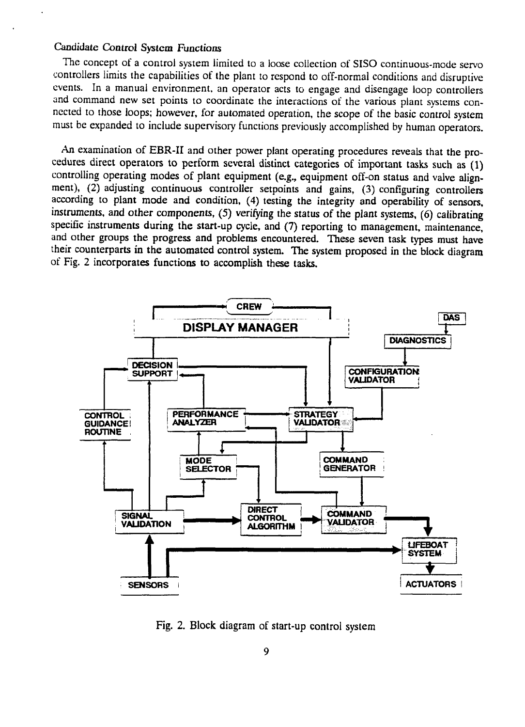#### Candidate Control System Functions

The concept of a control system limited to a loose collection of SISO continuous-mode servo controllers limits the capabilities of the plant to respond to off-normal conditions and disruptive events. In a manual environment, an operator acts to engage and disengage loop controllers and command new set points to coordinate the interactions of the various plant systems connected to those loops; however, for automated operation, the scope of the basic control system must be expanded to include supervisory functions previously accomplished by human operators.

An examination of EBR-II and other power plant operating procedures reveals that the procedures direct operators to perform several distinct categories of important tasks such as (1) controlling operating modes of plant equipment (e.g., equipment off-on status and valve alignment), (2) adjusting continuous controller setpoints and gains, (3) configuring controllers according to plant mode and condition, (4) testing the integrity and operability of sensors, instruments, and other components, (5) verifying the status of the plant systems, (6) calibrating specific instruments during the start-up cycle, and (7) reporting to management, maintenance, and other groups the progress and problems encountered. These seven task types must have their counterparts in the automated control system. The system proposed in the block diagram of Fig. 2 incorporates functions to accomplish these tasks.



Fig. 2. Block diagram of start-up control system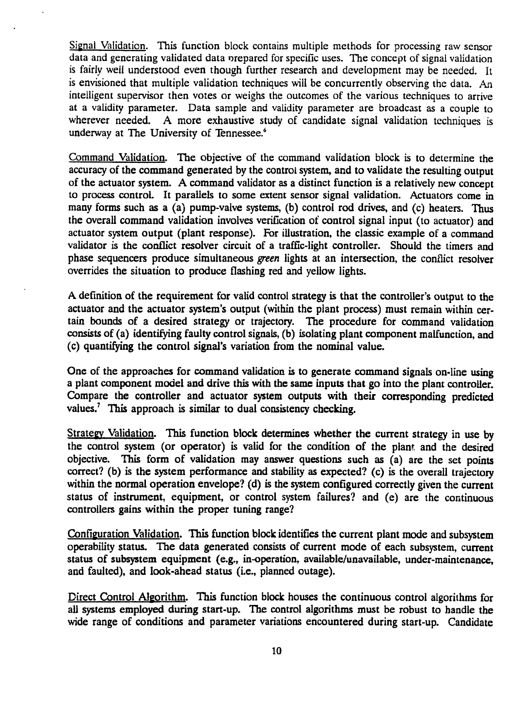Signal Validation. This function block contains multiple methods for processing raw sensor data and generating validated data orepared for specific uses. The concept of signal validation is fairly well understood even though further research and development may be needed. It is envisioned that multiple validation techniques will be concurrently observing the data. An intelligent supervisor then votes or weighs the outcomes of the various techniques to arrive at a validity parameter. Data sample and validity parameter are broadcast as a couple to wherever needed. A more exhaustive study of candidate signal validation techniques is underway at The University of Tennessee.<sup>6</sup>

Command Validation. The objective of the command validation block is to determine the accuracy of the command generated by the control system, and to validate the resulting output of the actuator system. A command validator as a distinct function is a relatively new concept to process control. It parallels to some extent sensor signal validation. Actuators come in many forms such as a (a) pump-valve systems, (b) control rod drives, and (c) heaters. Thus the overall command validation involves verification of control signal input (to actuator) and actuator system output (plant response). For illustration, the classic example of a command validator is the conflict resoiver circuit of a traffic-light controller. Should the timers and phase sequencers produce simultaneous *green* lights at an intersection, the conflict resoiver overrides the situation to produce flashing red and yellow lights.

A definition of the requirement for valid control strategy is that the controller's output to the actuator and the actuator system's output (within the plant process) must remain within certain bounds of a desired strategy or trajectory. The procedure for command validation consists of (a) identifying faulty control signals, (b) isolating plant component malfunction, and (c) quantifying the control signal's variation from the nominal value.

One of the approaches for command validation is to generate command signals on-line using a plant component model and drive this with the same inputs that go into the plant controller. Compare the controller and actuator system outputs with their corresponding predicted values.<sup>7</sup> This approach is similar to dual consistency checking.

Strategy Validation. This function block determines whether the current strategy in use by the control system (or operator) is valid for the condition of the plant and the desired objective. This form of validation may answer questions such as (a) are the set points correct? (b) is the system performance and stability as expected? (c) is the overall trajectory within the normal operation envelope? (d) is the system configured correctly given the current status of instrument, equipment, or control system failures? and (e) are the continuous controllers gains within the proper tuning range?

Configuration Validation. This function block identifies the current plant mode and subsystem operability status. The data generated consists of current mode of each subsystem, current status of subsystem equipment (e.g., in-operation, available/unavailable, under-maintenance, and faulted), and look-ahead status (i.e., planned outage).

Direct Control Algorithm. This function block houses the continuous control algorithms for all systems employed during start-up. The control algorithms must be robust to handle the wide range of conditions and parameter variations encountered during start-up. Candidate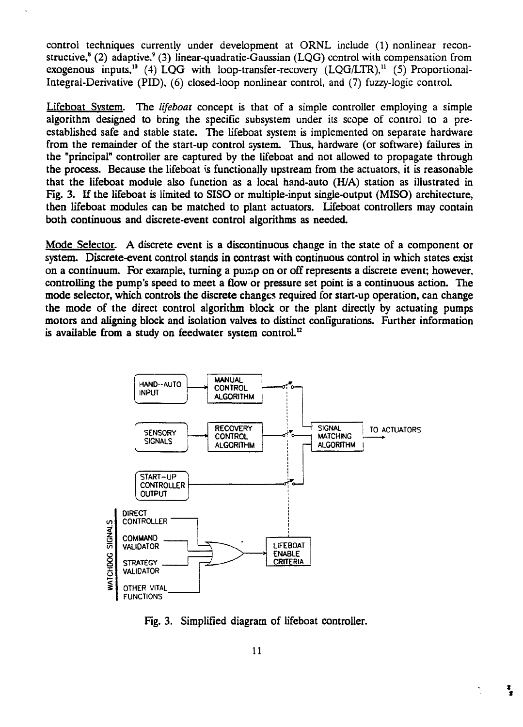control techniques currently under development at ORNL include (1) nonlinear reconstructive,<sup>8</sup> (2) adaptive,<sup>9</sup> (3) linear-quadratic-Gaussian (LQG) control with compensation from exogenous inputs,<sup>10</sup> (4)  $\text{LQG}$  with loop-transfer-recovery (LQG/LTR),<sup>11</sup> (5) Proportional-Integral-Derivative (PID), (6) closed-loop nonlinear control, and (7) fuzzy-logic control.

Lifeboat System. The *lifeboat* concept is that of a simple controller employing a simple algorithm designed to bring the specific subsystem under its scope of control to a preestablished safe and stable state. The lifeboat system is implemented on separate hardware from the remainder of the start-up control system. Thus, hardware (or software) failures in the "principal" controller are captured by the lifeboat and not allowed to propagate through the process. Because the lifeboat is functionally upstream from the actuators, it is reasonable that the lifeboat module also function as a local hand-auto (H/A) station as illustrated in Fig. 3. If the lifeboat is limited to SISO or multiple-input single-output (MISO) architecture, then lifeboat modules can be matched to plant actuators. Lifeboat controllers may contain both continuous and discrete-event control algorithms as needed.

Mode Selector. A discrete event is a discontinuous change in the state of a component or system. Discrete-event control stands in contrast with continuous control in which states exist on a continuum. For example, turning a purap on or off represents a discrete event; however, controlling the pump's speed to meet a flow or pressure set point is a continuous action. The mode selector, which controls the discrete changes required for start-up operation, can change the mode of the direct control algorithm block or the plant directly by actuating pumps motors and aligning block and isolation valves to distinct configurations. Further information is available from a study on feedwater system control. $^{12}$ 



Fig. 3. Simplified diagram of lifeboat controller.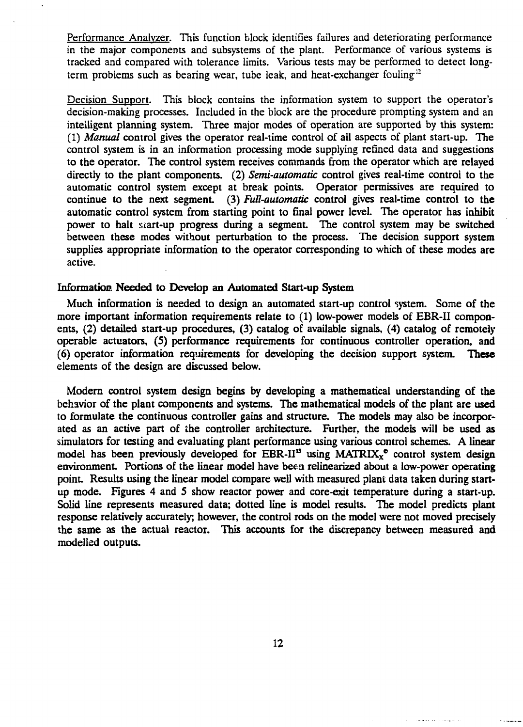Performance Analyzer. This function block identifies failures and deteriorating performance in the major components and subsystems of the plant. Performance of various systems is tracked and compared with tolerance limits. Various tests may be performed to detect longterm problems such as bearing wear, tube leak, and heat-exchanger fouling<sup>12</sup>

Decision Support. This block contains the information system to support the operator's decision-making processes. Included in the block are the procedure prompting system and an intelligent planning system. Three major modes of operation are supported by this system: (1) *Manual* control gives the operator real-time control of all aspects of plant start-up. The control system is in an information processing mode supplying refined data and suggestions to the operator. The control system receives commands from the operator which are relayed directly to the plant components. (2) *Semi-automatic* control gives real-time control to the automatic control system except at break points. Operator permissives are required to continue to the next segment. (3) *Full-automatic* control gives real-time control to the automatic control system from starting point to final power level. The operator has inhibit power to halt start-up progress during a segment. The control system may be switched between these modes without perturbation to the process. The decision support system supplies appropriate information to the operator corresponding to which of these modes are active.

# Information Needed to Develop an Automated Start-up System

Much information is needed to design an automated start-up control system. Some of the more important information requirements relate to (1) low-power models of EBR-II components, (2) detailed start-up procedures, (3) catalog of available signals, (4) catalog of remotely operable actuators, (5) performance requirements for continuous controller operation, and (6) operator information requirements for developing the decision support system. These elements of the design are discussed below.

Modern control system design begins by developing a mathematical understanding of the behavior of the plant components and systems. The mathematical models of the plant are used to formulate the continuous controller gains and structure. The models may also be incorporated as an active part of the controller architecture. Further, the models will be used as simulators for testing and evaluating plant performance using various control schemes. A linear model has been previously developed for EBR-II<sup>13</sup> using MATRIX<sub>x</sub><sup>e</sup> control system design environment. Portions of the linear model have been relinearized about a low-power operating point Results using the linear model compare well with measured plant data taken during startup mode. Figures 4 and 5 show reactor power and core-exit temperature during a start-up. Solid line represents measured data; dotted line is model results. The model predicts plant response relatively accurately, however, the control rods on the model were not moved precisely the same as the actual reactor. This accounts for the discrepancy between measured and modelled outputs.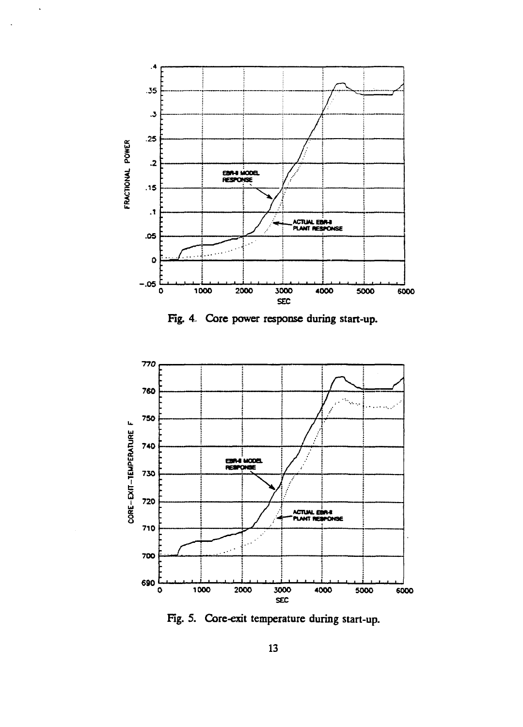

 $\ddot{\phantom{0}}$ 

Fig. 4. Core power response during start-up.



Fig. 5. Core-exit temperature during start-up.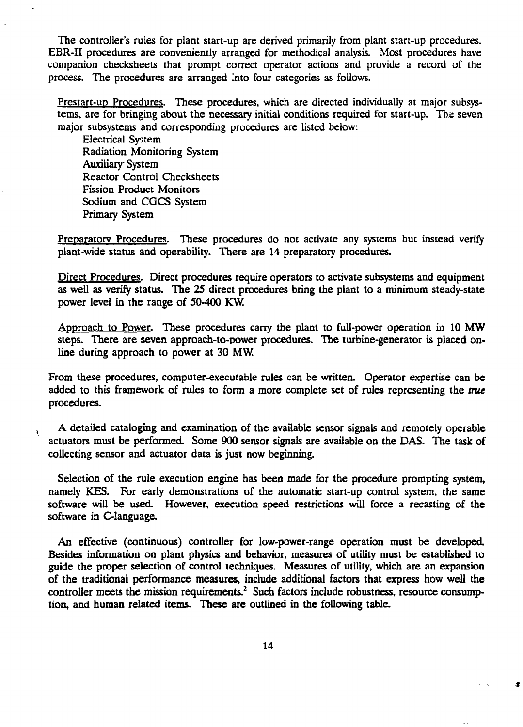The controller's rules for plant start-up are derived primarily from plant start-up procedures. EBR-II procedures are conveniently arranged for methodical analysis. Most procedures have companion checksheets that prompt correct operator actions and provide a record of the process. The procedures are arranged into four categories as follows.

Prestart-up Procedures. These procedures, which are directed individually at major subsystems, are for bringing about the necessary initial conditions required for start-up. The seven major subsystems and corresponding procedures are listed below:

Electrical System Radiation Monitoring System Auxiliary System Reactor Control Checksheets Fission Product Monitors Sodium and CGCS System Primary System

Ą.

Preparatory Procedures. These procedures do not activate any systems but instead verify plant-wide status and operability. There are 14 preparatory procedures.

Direct Procedures. Direct procedures require operators to activate subsystems and equipment as well as verify status. The 25 direct procedures bring the plant to a minimum steady-state power level in the range of 50-400 KW.

Approach to Power. These procedures carry the plant to full-power operation in 10 MW steps. There are seven approach-to-power procedures. The turbine-generator is placed online during approach to power at 30 MW.

From these procedures, computer-executable rules can be written. Operator expertise can be added to this framework of rules to form a more complete set of rules representing the *true* procedures.

A detailed cataloging and examination of the available sensor signals and remotely operable actuators must be performed. Some 900 sensor signals are available on the DAS. The task of collecting sensor and actuator data is just now beginning.

Selection of the rule execution engine has been made for the procedure prompting system, namely KES. For early demonstrations of the automatic start-up control system, the same software will be used. However, execution speed restrictions will force a recasting of the software in C-language.

An effective (continuous) controller for low-power-range operation must be developed. Besides information on plant physics and behavior, measures of utility must be established to guide the proper selection of control techniques. Measures of utility, which are an expansion of the traditional performance measures, include additional factors that express how well the controller meets the mission requirements.<sup>2</sup> Such factors include robustness, resource consumption, and human related items. These are outlined in the following table.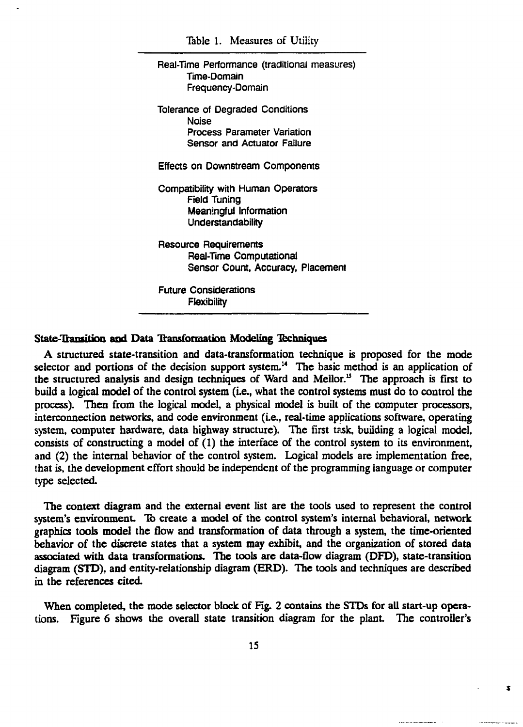Table 1. Measures of Utility

Real-Time Performance (traditional measures) Time-Domain Frequency-Domain Tolerance of Degraded Conditions Noise Process Parameter Variation Sensor and Actuator Failure Effects on Downstream Components Compatibility with Human Operators Field Tuning Meaningful Information **Understandability** Resource Requirements Real-Time Computational Sensor Count, Accuracy, Placement Future Considerations Flexibility

# State-Transition **and** Data Transformation Modeling Techniques

A structured state-transition and data-transformation technique is proposed for the mode selector and portions of the decision support system.<sup>14</sup> The basic method is an application of the structured analysis and design techniques of Ward and Mellor.<sup>15</sup> The approach is first to build a logical model of the control system (i.e., what the control systems must do to control the process). Then from the logical model, a physical model is built of the computer processors, interconnection networks, and code environment (Le., real-time applications software, operating system, computer hardware, data highway structure). The first task, building a logical model, consists of constructing a model of (1) the interface of the control system to its environment, and (2) the internal behavior of the control system. Logical models are implementation free, that is, the development effort should be independent of the programming language or computer type selected.

The context diagram and the external event list are the tools used to represent the control system's environment. To create a model of the control system's internal behavioral, network graphics tools model the flow and transformation of data through a system, the time-oriented behavior of the discrete states that a system may exhibit, and the organization of stored data associated with data transformations. The tools are data-flow diagram (DFD), state-transition diagram (STD), and entity-relationship diagram (ERD). The tools and techniques are described in the references cited.

When completed, the mode selector block of Fig. 2 contains the STDs for all start-up operations. Figure 6 shows the overall state transition diagram for the plant The controller's

 $\bullet$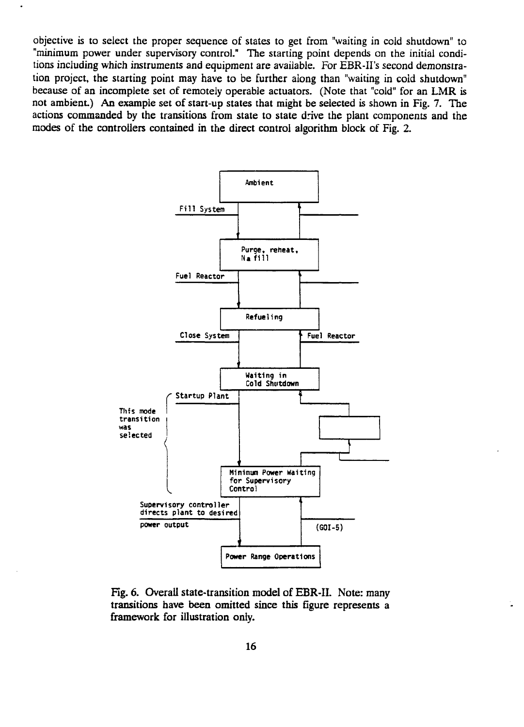objective is to select the proper sequence of states to get from "waiting in cold shutdown" to "minimum power under supervisory control." The starting point depends on the initial conditions including which instruments and equipment are available. For EBR-II's second demonstration project, the starting point may have to be further along than "waiting in cold shutdown" because of an incomplete set of remotely operable actuators. (Note that "cold" for an LMR is not ambient) An example set of start-up states that might be selected is shown in Fig. 7. The actions commanded by the transitions from state to state drive the plant components and the modes of the controllers contained in the direct control algorithm block of Fig. 2.

 $\cdot$ 



Fig. 6. Overall state-transition model of EBR-II. Note: many transitions have been omitted since this figure represents a framework for illustration only.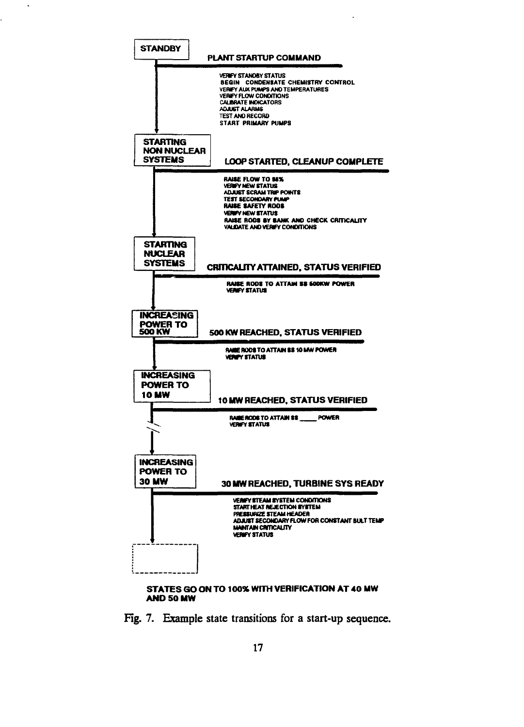

#### **AND 50 MW**

 $\ddot{\phantom{0}}$ 

Fig. 7. Example state transitions for a start-up sequence.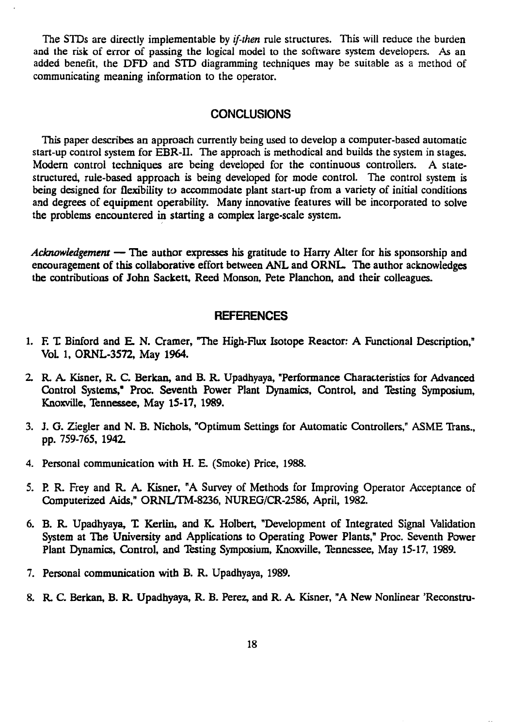The STDs are directly implementable by *if-then* rule structures. This will reduce the burden and the risk of error of passing the logical model to the software system developers. As an added benefit, the DFD and STD diagramming techniques may be suitable as a method of communicating meaning information to the operator.

# **CONCLUSIONS**

This paper describes an approach currently being used to develop a computer-based automatic start-up control system for EBR-II. The approach is methodical and builds the system in stages. Modern control techniques are being developed for the continuous controllers. A statestructured, rule-based approach is being developed for mode control. The control system is being designed for flexibility to accommodate plant start-up from a variety of initial conditions and degrees of equipment operability. Many innovative features will be incorporated to solve the problems encountered in starting a complex large-scale system.

*Acknowledgement* — The author expresses his gratitude to Harry Alter for his sponsorship and encouragement of this collaborative effort between ANL and ORNL. The author acknowledges the contributions of John Sackett, Reed Monson, Pete Planchon, and their colleagues.

# **REFERENCES**

- 1. E T Binford and E. N. Cramer, The High-Flux Isotope Reactor: A Functional Description," VoL 1, ORNL-3572, May 1964.
- 2. R. A. Kisner, R. C. Berkan, and B. R. Upadhyaya, "Performance Characteristics for Advanced Control Systems," Proc. Seventh Power Plant Dynamics, Control, and Testing Symposium, Knoxville, Tennessee, May 15-17, 1989.
- 3. J. G. Ziegler and N. B. Nichols, "Optimum Settings for Automatic Controllers," ASME Trans., pp. 759-765, 1942.
- 4. Personal communication with H. E. (Smoke) Price, 1988.
- 5. P. R. Frey and R. A. Kisner, "A Survey of Methods for Improving Operator Acceptance of Computerized Aids," ORNI/TM-8236, NUREG/CR-2586, April, 1982.
- 6. B. R. Upadhyaya, T. Kerlin, and K. Holbert, "Development of Integrated Signal Validation System at The University and Applications to Operating Power Plants," Proc. Seventh Power Plant Dynamics, Control, and Testing Symposium, Knoxville, Tennessee, May 15-17, 1989.
- 7. Personal communication with B. R. Upadhyaya, 1989.
- 8. R. C. Berkan, B. R. Upadhyaya, R. B. Perez, and R. A. Kisner, "A New Nonlinear 'Reconstru-